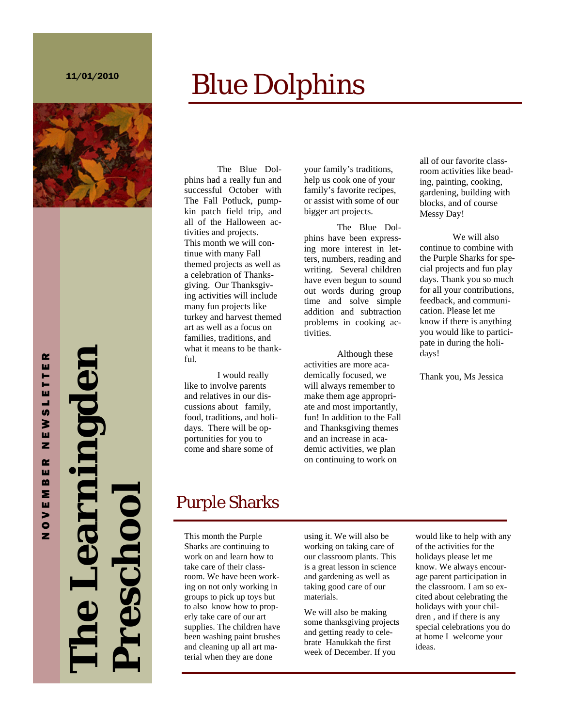#### 11/01/2010

# Blue Dolphins



**The Learningden Preschool**  looubse.

The Blue Dolphins had a really fun and successful October with The Fall Potluck, pumpkin patch field trip, and all of the Halloween activities and projects. This month we will continue with many Fall themed projects as well as a celebration of Thanksgiving. Our Thanksgiving activities will include many fun projects like turkey and harvest themed art as well as a focus on families, traditions, and what it means to be thankful.

 I would really like to involve parents and relatives in our discussions about family, food, traditions, and holidays. There will be opportunities for you to come and share some of

your family's traditions, help us cook one of your family's favorite recipes, or assist with some of our bigger art projects.

The Blue Dolphins have been expressing more interest in letters, numbers, reading and writing. Several children have even begun to sound out words during group time and solve simple addition and subtraction problems in cooking activities.

 Although these activities are more academically focused, we will always remember to make them age appropriate and most importantly, fun! In addition to the Fall and Thanksgiving themes and an increase in academic activities, we plan on continuing to work on

all of our favorite classroom activities like beading, painting, cooking, gardening, building with blocks, and of course Messy Day!

 We will also continue to combine with the Purple Sharks for special projects and fun play days. Thank you so much for all your contributions, feedback, and communication. Please let me know if there is anything you would like to participate in during the holidays!

Thank you, Ms Jessica

# Purple Sharks

This month the Purple Sharks are continuing to work on and learn how to take care of their classroom. We have been working on not only working in groups to pick up toys but to also know how to properly take care of our art supplies. The children have been washing paint brushes and cleaning up all art material when they are done

using it. We will also be working on taking care of our classroom plants. This is a great lesson in science and gardening as well as taking good care of our materials.

We will also be making some thanksgiving projects and getting ready to celebrate Hanukkah the first week of December. If you

would like to help with any of the activities for the holidays please let me know. We always encourage parent participation in the classroom. I am so excited about celebrating the holidays with your children , and if there is any special celebrations you do at home I welcome your ideas.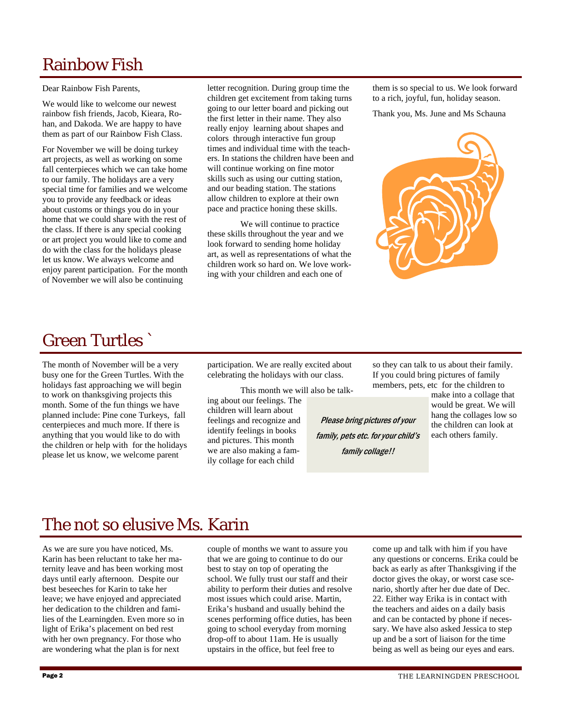# Rainbow Fish

Dear Rainbow Fish Parents,

We would like to welcome our newest rainbow fish friends, Jacob, Kieara, Rohan, and Dakoda. We are happy to have them as part of our Rainbow Fish Class.

For November we will be doing turkey art projects, as well as working on some fall centerpieces which we can take home to our family. The holidays are a very special time for families and we welcome you to provide any feedback or ideas about customs or things you do in your home that we could share with the rest of the class. If there is any special cooking or art project you would like to come and do with the class for the holidays please let us know. We always welcome and enjoy parent participation. For the month of November we will also be continuing

letter recognition. During group time the children get excitement from taking turns going to our letter board and picking out the first letter in their name. They also really enjoy learning about shapes and colors through interactive fun group times and individual time with the teachers. In stations the children have been and will continue working on fine motor skills such as using our cutting station, and our beading station. The stations allow children to explore at their own pace and practice honing these skills.

 We will continue to practice these skills throughout the year and we look forward to sending home holiday art, as well as representations of what the children work so hard on. We love working with your children and each one of

them is so special to us. We look forward to a rich, joyful, fun, holiday season.

Thank you, Ms. June and Ms Schauna



## Green Turtles `

The month of November will be a very busy one for the Green Turtles. With the holidays fast approaching we will begin to work on thanksgiving projects this month. Some of the fun things we have planned include: Pine cone Turkeys, fall centerpieces and much more. If there is anything that you would like to do with the children or help with for the holidays please let us know, we welcome parent

participation. We are really excited about celebrating the holidays with our class.

 This month we will also be talking about our feelings. The children will learn about feelings and recognize and identify feelings in books and pictures. This month we are also making a family collage for each child

so they can talk to us about their family. If you could bring pictures of family members, pets, etc for the children to

Please bring pictures of your family, pets etc. for your child's family collage!!

make into a collage that would be great. We will hang the collages low so the children can look at each others family.

### The not so elusive Ms. Karin

As we are sure you have noticed, Ms. Karin has been reluctant to take her maternity leave and has been working most days until early afternoon. Despite our best beseeches for Karin to take her leave; we have enjoyed and appreciated her dedication to the children and families of the Learningden. Even more so in light of Erika's placement on bed rest with her own pregnancy. For those who are wondering what the plan is for next

couple of months we want to assure you that we are going to continue to do our best to stay on top of operating the school. We fully trust our staff and their ability to perform their duties and resolve most issues which could arise. Martin, Erika's husband and usually behind the scenes performing office duties, has been going to school everyday from morning drop-off to about 11am. He is usually upstairs in the office, but feel free to

come up and talk with him if you have any questions or concerns. Erika could be back as early as after Thanksgiving if the doctor gives the okay, or worst case scenario, shortly after her due date of Dec. 22. Either way Erika is in contact with the teachers and aides on a daily basis and can be contacted by phone if necessary. We have also asked Jessica to step up and be a sort of liaison for the time being as well as being our eyes and ears.